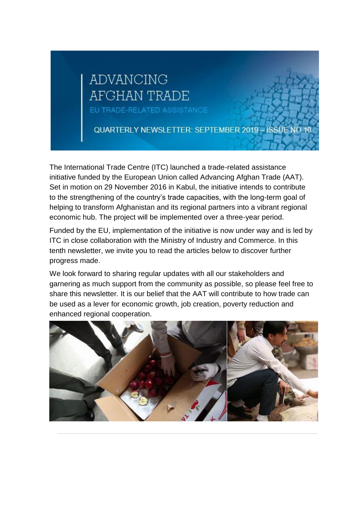# **ADVANCING** AFGHAN TRADE

EU TRADE-RELATED ASSISTANCE

QUARTERLY NEWSLETTER: SEPTEMBER 2019 - ISSUE NO 10

The International Trade Centre (ITC) launched a trade-related assistance initiative funded by the European Union called Advancing Afghan Trade (AAT). Set in motion on 29 November 2016 in Kabul, the initiative intends to contribute to the strengthening of the country's trade capacities, with the long-term goal of helping to transform Afghanistan and its regional partners into a vibrant regional economic hub. The project will be implemented over a three-year period.

Funded by the EU, implementation of the initiative is now under way and is led by ITC in close collaboration with the Ministry of Industry and Commerce. In this tenth newsletter, we invite you to read the articles below to discover further progress made.

We look forward to sharing regular updates with all our stakeholders and garnering as much support from the community as possible, so please feel free to share this newsletter. It is our belief that the AAT will contribute to how trade can be used as a lever for economic growth, job creation, poverty reduction and enhanced regional cooperation.

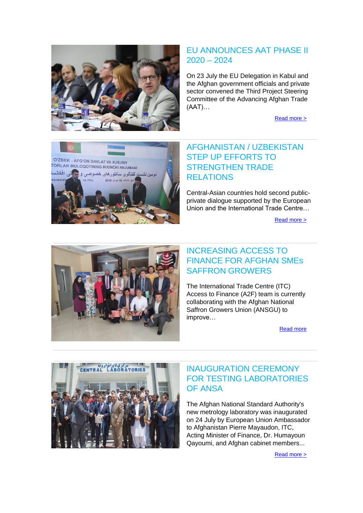

#### EU ANNOUNCES AAT PHASE II 2020 – 2024

On 23 July the EU Delegation in Kabul and the Afghan government officials and private sector convened the Third Project Steering Committee of the Advancing Afghan Trade (AAT)…

[Read more >](http://bit.ly/2SQOf00)



## AFGHANISTAN / UZBEKISTAN STEP UP EFFORTS TO STRENGTHEN TRADE RELATIONS

Central-Asian countries hold second publicprivate dialogue supported by the European Union and the International Trade Centre…

[Read more >](http://www.intracen.org/news/Afghanistan-and-Uzbekistan-step-up-efforts-to-strengthen-trade-relations/)



## INCREASING ACCESS TO FINANCE FOR AFGHAN SMEs SAFFRON GROWERS

The International Trade Centre (ITC) Access to Finance (A2F) team is currently collaborating with the Afghan National Saffron Growers Union (ANSGU) to improve…

[Read more](http://www.intracen.org/uploadedFiles/intracen.org/Content/ArticleAccessFinance%20.pdf)



#### INAUGURATION CEREMONY FOR TESTING LABORATORIES OF ANSA

The Afghan National Standard Authority's new metrology laboratory was inaugurated on 24 July by European Union Ambassador to Afghanistan Pierre Mayaudon, ITC, Acting Minister of Finance, Dr. Humayoun Qayoumi, and Afghan cabinet members...

[Read more >](http://www.intracen.org/uploadedFiles/intracen.org/Content/MetrologyLabs.pdf)